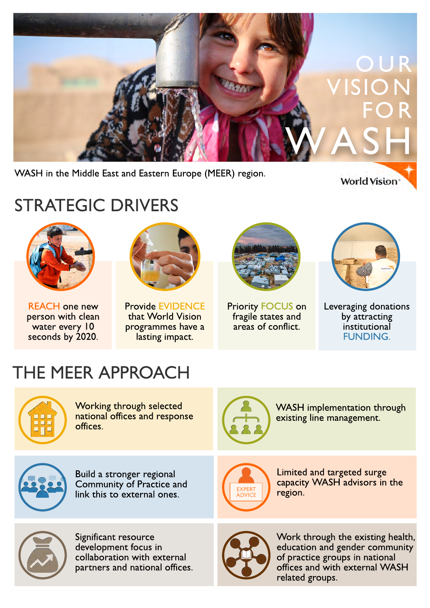

WASH in the Middle East and Eastern Europe (MEER) region.

**World Vision** 

# STRATEGIC DRIVERS



REACH one new person with clean water every 10 seconds by 2020.



Provide EVIDENCE that World Vision programmes have a lasting impact.



Priority FOCUS on fragile states and areas of conflict.



Leveraging donations by attracting institutional FUNDING.

# THE MEER APPROACH



Working through selected national offices and response offices.



WASH implementation through existing line management.



Build a stronger regional Community of Practice and link this to external ones.



Limited and targeted surge capacity WASH advisors in the region.



Significant resource development focus in collaboration with external partners and national offices.



Work through the existing health, education and gender community of practice groups in national offices and with external WASH related groups.